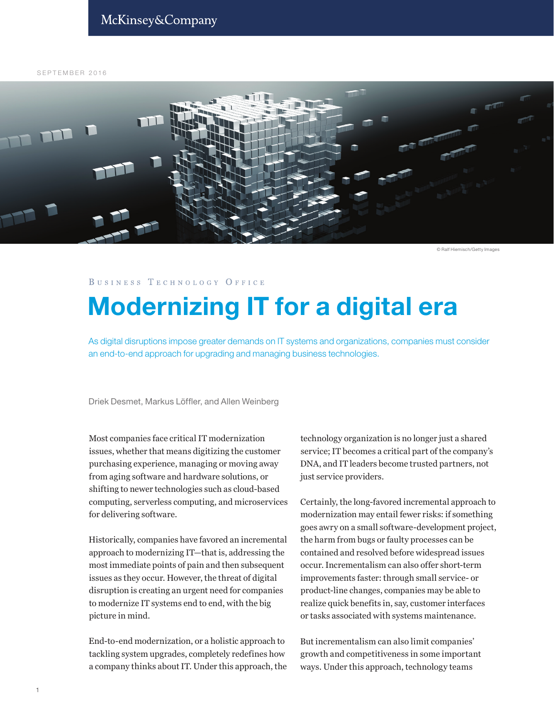SEPTEMBER 2016



© Ralf Hiemisch/Getty Images

#### BUSINESS TECHNOLOGY OFFICE

# Modernizing IT for a digital era

As digital disruptions impose greater demands on IT systems and organizations, companies must consider an end-to-end approach for upgrading and managing business technologies.

Driek Desmet, Markus Löffler, and Allen Weinberg

Most companies face critical IT modernization issues, whether that means digitizing the customer purchasing experience, managing or moving away from aging software and hardware solutions, or shifting to newer technologies such as cloud-based computing, serverless computing, and microservices for delivering software.

Historically, companies have favored an incremental approach to modernizing IT—that is, addressing the most immediate points of pain and then subsequent issues as they occur. However, the threat of digital disruption is creating an urgent need for companies to modernize IT systems end to end, with the big picture in mind.

End-to-end modernization, or a holistic approach to tackling system upgrades, completely redefines how a company thinks about IT. Under this approach, the

technology organization is no longer just a shared service; IT becomes a critical part of the company's DNA, and IT leaders become trusted partners, not just service providers.

Certainly, the long-favored incremental approach to modernization may entail fewer risks: if something goes awry on a small software-development project, the harm from bugs or faulty processes can be contained and resolved before widespread issues occur. Incrementalism can also offer short-term improvements faster: through small service- or product-line changes, companies may be able to realize quick benefits in, say, customer interfaces or tasks associated with systems maintenance.

But incrementalism can also limit companies' growth and competitiveness in some important ways. Under this approach, technology teams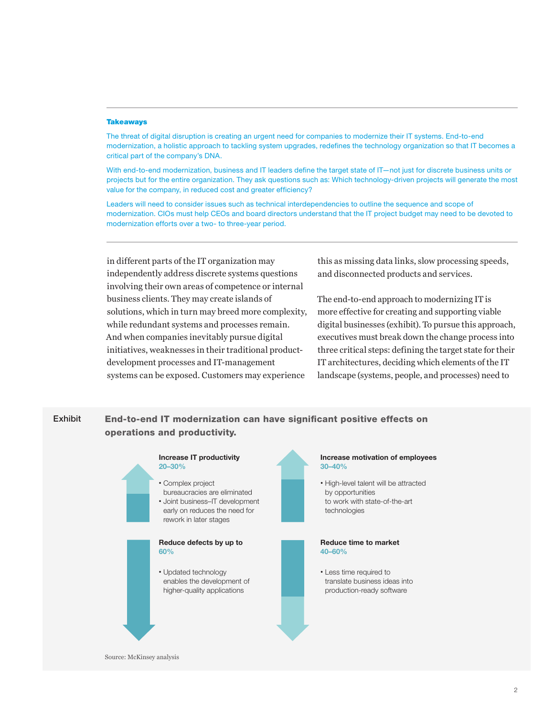#### **Takeaways**

The threat of digital disruption is creating an urgent need for companies to modernize their IT systems. End-to-end modernization, a holistic approach to tackling system upgrades, redefines the technology organization so that IT becomes a critical part of the company's DNA.

With end-to-end modernization, business and IT leaders define the target state of IT—not just for discrete business units or projects but for the entire organization. They ask questions such as: Which technology-driven projects will generate the most value for the company, in reduced cost and greater efficiency?

Leaders will need to consider issues such as technical interdependencies to outline the sequence and scope of modernization. CIOs must help CEOs and board directors understand that the IT project budget may need to be devoted to modernization efforts over a two- to three-year period.

in different parts of the IT organization may independently address discrete systems questions involving their own areas of competence or internal business clients. They may create islands of solutions, which in turn may breed more complexity, while redundant systems and processes remain. And when companies inevitably pursue digital initiatives, weaknesses in their traditional productdevelopment processes and IT-management systems can be exposed. Customers may experience

this as missing data links, slow processing speeds, and disconnected products and services.

The end-to-end approach to modernizing IT is more effective for creating and supporting viable digital businesses (exhibit). To pursue this approach, executives must break down the change process into three critical steps: defining the target state for their IT architectures, deciding which elements of the IT landscape (systems, people, and processes) need to

#### Exhibit End-to-end IT modernization can have significant positive effects on operations and productivity.



Source: McKinsey analysis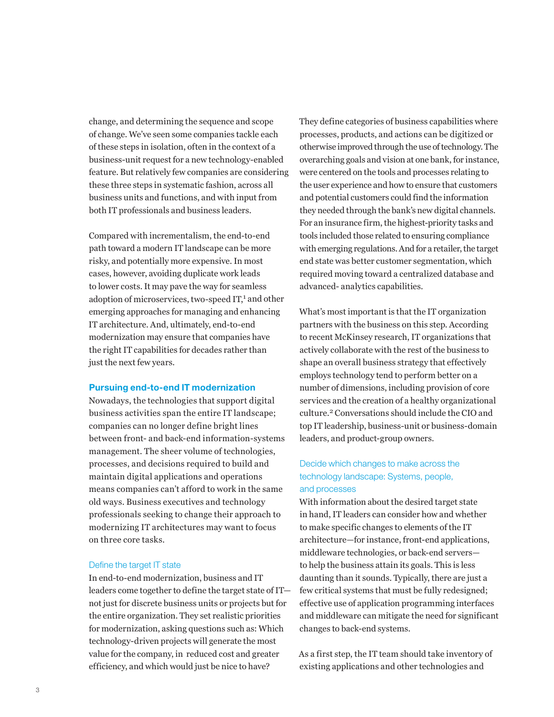change, and determining the sequence and scope of change. We've seen some companies tackle each of these steps in isolation, often in the context of a business-unit request for a new technology-enabled feature. But relatively few companies are considering these three steps in systematic fashion, across all business units and functions, and with input from both IT professionals and business leaders.

Compared with incrementalism, the end-to-end path toward a modern IT landscape can be more risky, and potentially more expensive. In most cases, however, avoiding duplicate work leads to lower costs. It may pave the way for seamless adoption of microservices, two-speed IT,<sup>1</sup> and other emerging approaches for managing and enhancing IT architecture. And, ultimately, end-to-end modernization may ensure that companies have the right IT capabilities for decades rather than just the next few years.

### Pursuing end-to-end IT modernization

Nowadays, the technologies that support digital business activities span the entire IT landscape; companies can no longer define bright lines between front- and back-end information-systems management. The sheer volume of technologies, processes, and decisions required to build and maintain digital applications and operations means companies can't afford to work in the same old ways. Business executives and technology professionals seeking to change their approach to modernizing IT architectures may want to focus on three core tasks.

#### Define the target IT state

In end-to-end modernization, business and IT leaders come together to define the target state of IT not just for discrete business units or projects but for the entire organization. They set realistic priorities for modernization, asking questions such as: Which technology-driven projects will generate the most value for the company, in reduced cost and greater efficiency, and which would just be nice to have?

They define categories of business capabilities where processes, products, and actions can be digitized or otherwise improved through the use of technology. The overarching goals and vision at one bank, for instance, were centered on the tools and processes relating to the user experience and how to ensure that customers and potential customers could find the information they needed through the bank's new digital channels. For an insurance firm, the highest-priority tasks and tools included those related to ensuring compliance with emerging regulations. And for a retailer, the target end state was better customer segmentation, which required moving toward a centralized database and advanced- analytics capabilities.

What's most important is that the IT organization partners with the business on this step. According to recent McKinsey research, IT organizations that actively collaborate with the rest of the business to shape an overall business strategy that effectively employs technology tend to perform better on a number of dimensions, including provision of core services and the creation of a healthy organizational culture.2 Conversations should include the CIO and top IT leadership, business-unit or business-domain leaders, and product-group owners.

## Decide which changes to make across the technology landscape: Systems, people, and processes

With information about the desired target state in hand, IT leaders can consider how and whether to make specific changes to elements of the IT architecture—for instance, front-end applications, middleware technologies, or back-end servers to help the business attain its goals. This is less daunting than it sounds. Typically, there are just a few critical systems that must be fully redesigned; effective use of application programming interfaces and middleware can mitigate the need for significant changes to back-end systems.

As a first step, the IT team should take inventory of existing applications and other technologies and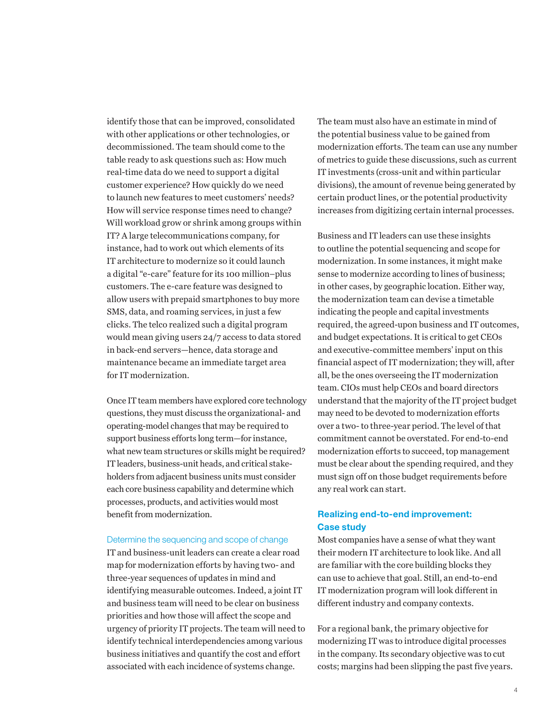identify those that can be improved, consolidated with other applications or other technologies, or decommissioned. The team should come to the table ready to ask questions such as: How much real-time data do we need to support a digital customer experience? How quickly do we need to launch new features to meet customers' needs? How will service response times need to change? Will workload grow or shrink among groups within IT? A large telecommunications company, for instance, had to work out which elements of its IT architecture to modernize so it could launch a digital "e-care" feature for its 100 million–plus customers. The e-care feature was designed to allow users with prepaid smartphones to buy more SMS, data, and roaming services, in just a few clicks. The telco realized such a digital program would mean giving users 24/7 access to data stored in back-end servers—hence, data storage and maintenance became an immediate target area for IT modernization.

Once IT team members have explored core technology questions, they must discuss the organizational- and operating-model changes that may be required to support business efforts long term—for instance, what new team structures or skills might be required? IT leaders, business-unit heads, and critical stakeholders from adjacent business units must consider each core business capability and determine which processes, products, and activities would most benefit from modernization.

#### Determine the sequencing and scope of change

IT and business-unit leaders can create a clear road map for modernization efforts by having two- and three-year sequences of updates in mind and identifying measurable outcomes. Indeed, a joint IT and business team will need to be clear on business priorities and how those will affect the scope and urgency of priority IT projects. The team will need to identify technical interdependencies among various business initiatives and quantify the cost and effort associated with each incidence of systems change.

The team must also have an estimate in mind of the potential business value to be gained from modernization efforts. The team can use any number of metrics to guide these discussions, such as current IT investments (cross-unit and within particular divisions), the amount of revenue being generated by certain product lines, or the potential productivity increases from digitizing certain internal processes.

Business and IT leaders can use these insights to outline the potential sequencing and scope for modernization. In some instances, it might make sense to modernize according to lines of business; in other cases, by geographic location. Either way, the modernization team can devise a timetable indicating the people and capital investments required, the agreed-upon business and IT outcomes, and budget expectations. It is critical to get CEOs and executive-committee members' input on this financial aspect of IT modernization; they will, after all, be the ones overseeing the IT modernization team. CIOs must help CEOs and board directors understand that the majority of the IT project budget may need to be devoted to modernization efforts over a two- to three-year period. The level of that commitment cannot be overstated. For end-to-end modernization efforts to succeed, top management must be clear about the spending required, and they must sign off on those budget requirements before any real work can start.

## Realizing end-to-end improvement: Case study

Most companies have a sense of what they want their modern IT architecture to look like. And all are familiar with the core building blocks they can use to achieve that goal. Still, an end-to-end IT modernization program will look different in different industry and company contexts.

For a regional bank, the primary objective for modernizing IT was to introduce digital processes in the company. Its secondary objective was to cut costs; margins had been slipping the past five years.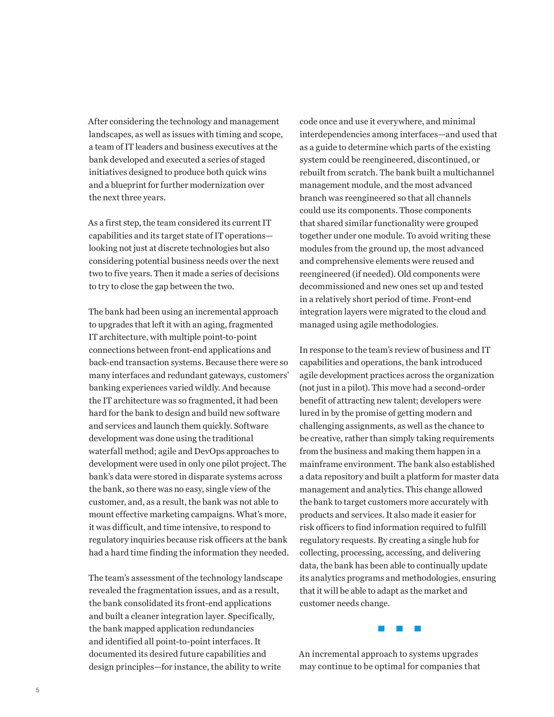After considering the technology and management landscapes, as well as issues with timing and scope, a team of IT leaders and business executives at the bank developed and executed a series of staged initiatives designed to produce both quick wins and a blueprint for further modernization over the next three years.

As a first step, the team considered its current IT capabilities and its target state of IT operations looking not just at discrete technologies but also considering potential business needs over the next two to five years. Then it made a series of decisions to try to close the gap between the two.

The bank had been using an incremental approach to upgrades that left it with an aging, fragmented IT architecture, with multiple point-to-point connections between front-end applications and back-end transaction systems. Because there were so many interfaces and redundant gateways, customers' banking experiences varied wildly. And because the IT architecture was so fragmented, it had been hard for the bank to design and build new software and services and launch them quickly. Software development was done using the traditional waterfall method; agile and DevOps approaches to development were used in only one pilot project. The bank's data were stored in disparate systems across the bank, so there was no easy, single view of the customer, and, as a result, the bank was not able to mount effective marketing campaigns. What's more, it was difficult, and time intensive, to respond to regulatory inquiries because risk officers at the bank had a hard time finding the information they needed.

The team's assessment of the technology landscape revealed the fragmentation issues, and as a result, the bank consolidated its front-end applications and built a cleaner integration layer. Specifically, the bank mapped application redundancies and identified all point-to-point interfaces. It documented its desired future capabilities and design principles—for instance, the ability to write

code once and use it everywhere, and minimal interdependencies among interfaces—and used that as a guide to determine which parts of the existing system could be reengineered, discontinued, or rebuilt from scratch. The bank built a multichannel management module, and the most advanced branch was reengineered so that all channels could use its components. Those components that shared similar functionality were grouped together under one module. To avoid writing these modules from the ground up, the most advanced and comprehensive elements were reused and reengineered (if needed). Old components were decommissioned and new ones set up and tested in a relatively short period of time. Front-end integration layers were migrated to the cloud and managed using agile methodologies.

In response to the team's review of business and IT capabilities and operations, the bank introduced agile development practices across the organization (not just in a pilot). This move had a second-order benefit of attracting new talent; developers were lured in by the promise of getting modern and challenging assignments, as well as the chance to be creative, rather than simply taking requirements from the business and making them happen in a mainframe environment. The bank also established a data repository and built a platform for master data management and analytics. This change allowed the bank to target customers more accurately with products and services. It also made it easier for risk officers to find information required to fulfill regulatory requests. By creating a single hub for collecting, processing, accessing, and delivering data, the bank has been able to continually update its analytics programs and methodologies, ensuring that it will be able to adapt as the market and customer needs change.



An incremental approach to systems upgrades may continue to be optimal for companies that